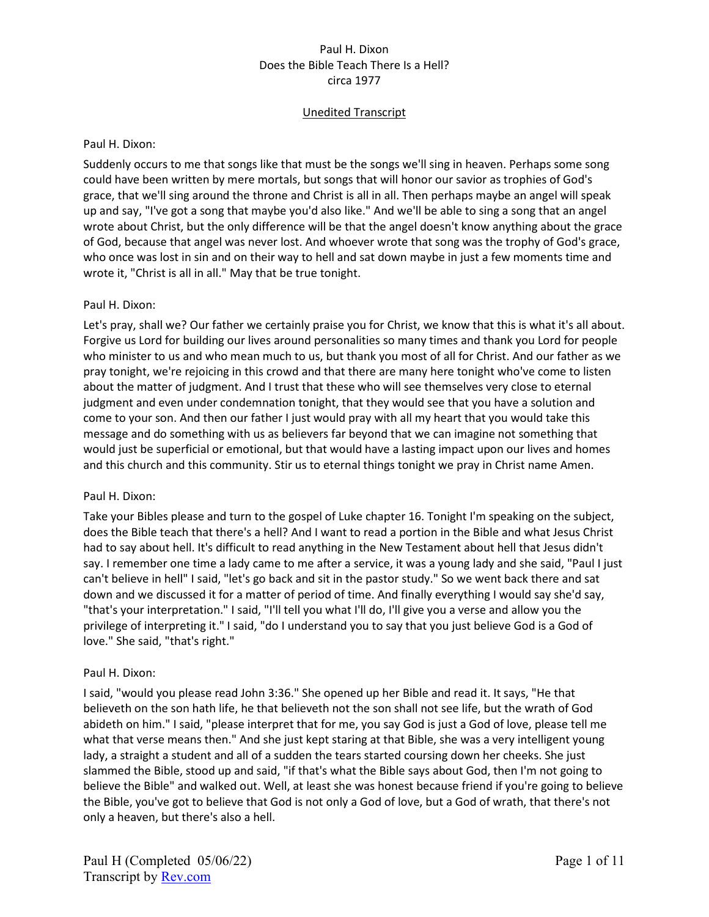# Unedited Transcript

### Paul H. Dixon:

Suddenly occurs to me that songs like that must be the songs we'll sing in heaven. Perhaps some song could have been written by mere mortals, but songs that will honor our savior as trophies of God's grace, that we'll sing around the throne and Christ is all in all. Then perhaps maybe an angel will speak up and say, "I've got a song that maybe you'd also like." And we'll be able to sing a song that an angel wrote about Christ, but the only difference will be that the angel doesn't know anything about the grace of God, because that angel was never lost. And whoever wrote that song was the trophy of God's grace, who once was lost in sin and on their way to hell and sat down maybe in just a few moments time and wrote it, "Christ is all in all." May that be true tonight.

## Paul H. Dixon:

Let's pray, shall we? Our father we certainly praise you for Christ, we know that this is what it's all about. Forgive us Lord for building our lives around personalities so many times and thank you Lord for people who minister to us and who mean much to us, but thank you most of all for Christ. And our father as we pray tonight, we're rejoicing in this crowd and that there are many here tonight who've come to listen about the matter of judgment. And I trust that these who will see themselves very close to eternal judgment and even under condemnation tonight, that they would see that you have a solution and come to your son. And then our father I just would pray with all my heart that you would take this message and do something with us as believers far beyond that we can imagine not something that would just be superficial or emotional, but that would have a lasting impact upon our lives and homes and this church and this community. Stir us to eternal things tonight we pray in Christ name Amen.

## Paul H. Dixon:

Take your Bibles please and turn to the gospel of Luke chapter 16. Tonight I'm speaking on the subject, does the Bible teach that there's a hell? And I want to read a portion in the Bible and what Jesus Christ had to say about hell. It's difficult to read anything in the New Testament about hell that Jesus didn't say. I remember one time a lady came to me after a service, it was a young lady and she said, "Paul I just can't believe in hell" I said, "let's go back and sit in the pastor study." So we went back there and sat down and we discussed it for a matter of period of time. And finally everything I would say she'd say, "that's your interpretation." I said, "I'll tell you what I'll do, I'll give you a verse and allow you the privilege of interpreting it." I said, "do I understand you to say that you just believe God is a God of love." She said, "that's right."

### Paul H. Dixon:

I said, "would you please read John 3:36." She opened up her Bible and read it. It says, "He that believeth on the son hath life, he that believeth not the son shall not see life, but the wrath of God abideth on him." I said, "please interpret that for me, you say God is just a God of love, please tell me what that verse means then." And she just kept staring at that Bible, she was a very intelligent young lady, a straight a student and all of a sudden the tears started coursing down her cheeks. She just slammed the Bible, stood up and said, "if that's what the Bible says about God, then I'm not going to believe the Bible" and walked out. Well, at least she was honest because friend if you're going to believe the Bible, you've got to believe that God is not only a God of love, but a God of wrath, that there's not only a heaven, but there's also a hell.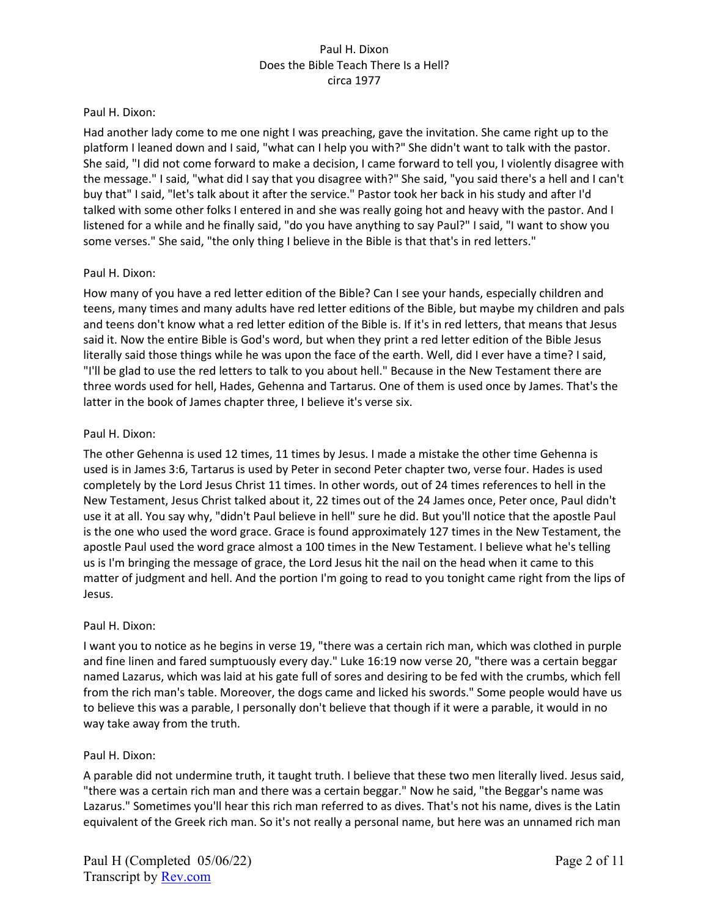### Paul H. Dixon:

Had another lady come to me one night I was preaching, gave the invitation. She came right up to the platform I leaned down and I said, "what can I help you with?" She didn't want to talk with the pastor. She said, "I did not come forward to make a decision, I came forward to tell you, I violently disagree with the message." I said, "what did I say that you disagree with?" She said, "you said there's a hell and I can't buy that" I said, "let's talk about it after the service." Pastor took her back in his study and after I'd talked with some other folks I entered in and she was really going hot and heavy with the pastor. And I listened for a while and he finally said, "do you have anything to say Paul?" I said, "I want to show you some verses." She said, "the only thing I believe in the Bible is that that's in red letters."

## Paul H. Dixon:

How many of you have a red letter edition of the Bible? Can I see your hands, especially children and teens, many times and many adults have red letter editions of the Bible, but maybe my children and pals and teens don't know what a red letter edition of the Bible is. If it's in red letters, that means that Jesus said it. Now the entire Bible is God's word, but when they print a red letter edition of the Bible Jesus literally said those things while he was upon the face of the earth. Well, did I ever have a time? I said, "I'll be glad to use the red letters to talk to you about hell." Because in the New Testament there are three words used for hell, Hades, Gehenna and Tartarus. One of them is used once by James. That's the latter in the book of James chapter three, I believe it's verse six.

## Paul H. Dixon:

The other Gehenna is used 12 times, 11 times by Jesus. I made a mistake the other time Gehenna is used is in James 3:6, Tartarus is used by Peter in second Peter chapter two, verse four. Hades is used completely by the Lord Jesus Christ 11 times. In other words, out of 24 times references to hell in the New Testament, Jesus Christ talked about it, 22 times out of the 24 James once, Peter once, Paul didn't use it at all. You say why, "didn't Paul believe in hell" sure he did. But you'll notice that the apostle Paul is the one who used the word grace. Grace is found approximately 127 times in the New Testament, the apostle Paul used the word grace almost a 100 times in the New Testament. I believe what he's telling us is I'm bringing the message of grace, the Lord Jesus hit the nail on the head when it came to this matter of judgment and hell. And the portion I'm going to read to you tonight came right from the lips of Jesus.

### Paul H. Dixon:

I want you to notice as he begins in verse 19, "there was a certain rich man, which was clothed in purple and fine linen and fared sumptuously every day." Luke 16:19 now verse 20, "there was a certain beggar named Lazarus, which was laid at his gate full of sores and desiring to be fed with the crumbs, which fell from the rich man's table. Moreover, the dogs came and licked his swords." Some people would have us to believe this was a parable, I personally don't believe that though if it were a parable, it would in no way take away from the truth.

### Paul H. Dixon:

A parable did not undermine truth, it taught truth. I believe that these two men literally lived. Jesus said, "there was a certain rich man and there was a certain beggar." Now he said, "the Beggar's name was Lazarus." Sometimes you'll hear this rich man referred to as dives. That's not his name, dives is the Latin equivalent of the Greek rich man. So it's not really a personal name, but here was an unnamed rich man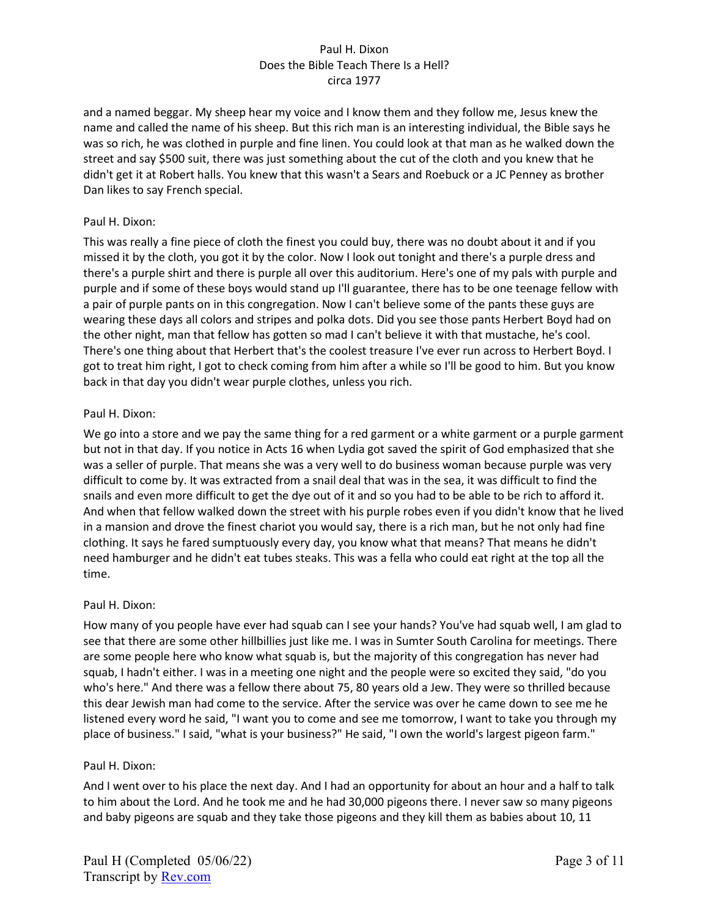and a named beggar. My sheep hear my voice and I know them and they follow me, Jesus knew the name and called the name of his sheep. But this rich man is an interesting individual, the Bible says he was so rich, he was clothed in purple and fine linen. You could look at that man as he walked down the street and say \$500 suit, there was just something about the cut of the cloth and you knew that he didn't get it at Robert halls. You knew that this wasn't a Sears and Roebuck or a JC Penney as brother Dan likes to say French special.

## Paul H. Dixon:

This was really a fine piece of cloth the finest you could buy, there was no doubt about it and if you missed it by the cloth, you got it by the color. Now I look out tonight and there's a purple dress and there's a purple shirt and there is purple all over this auditorium. Here's one of my pals with purple and purple and if some of these boys would stand up I'll guarantee, there has to be one teenage fellow with a pair of purple pants on in this congregation. Now I can't believe some of the pants these guys are wearing these days all colors and stripes and polka dots. Did you see those pants Herbert Boyd had on the other night, man that fellow has gotten so mad I can't believe it with that mustache, he's cool. There's one thing about that Herbert that's the coolest treasure I've ever run across to Herbert Boyd. I got to treat him right, I got to check coming from him after a while so I'll be good to him. But you know back in that day you didn't wear purple clothes, unless you rich.

## Paul H. Dixon:

We go into a store and we pay the same thing for a red garment or a white garment or a purple garment but not in that day. If you notice in Acts 16 when Lydia got saved the spirit of God emphasized that she was a seller of purple. That means she was a very well to do business woman because purple was very difficult to come by. It was extracted from a snail deal that was in the sea, it was difficult to find the snails and even more difficult to get the dye out of it and so you had to be able to be rich to afford it. And when that fellow walked down the street with his purple robes even if you didn't know that he lived in a mansion and drove the finest chariot you would say, there is a rich man, but he not only had fine clothing. It says he fared sumptuously every day, you know what that means? That means he didn't need hamburger and he didn't eat tubes steaks. This was a fella who could eat right at the top all the time.

### Paul H. Dixon:

How many of you people have ever had squab can I see your hands? You've had squab well, I am glad to see that there are some other hillbillies just like me. I was in Sumter South Carolina for meetings. There are some people here who know what squab is, but the majority of this congregation has never had squab, I hadn't either. I was in a meeting one night and the people were so excited they said, "do you who's here." And there was a fellow there about 75, 80 years old a Jew. They were so thrilled because this dear Jewish man had come to the service. After the service was over he came down to see me he listened every word he said, "I want you to come and see me tomorrow, I want to take you through my place of business." I said, "what is your business?" He said, "I own the world's largest pigeon farm."

### Paul H. Dixon:

And I went over to his place the next day. And I had an opportunity for about an hour and a half to talk to him about the Lord. And he took me and he had 30,000 pigeons there. I never saw so many pigeons and baby pigeons are squab and they take those pigeons and they kill them as babies about 10, 11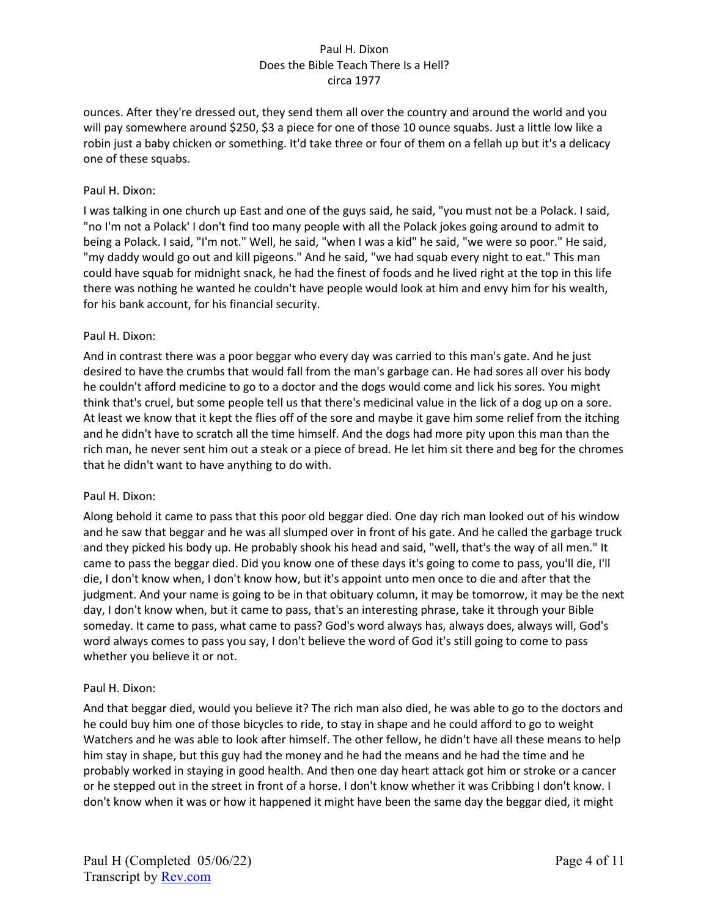ounces. After they're dressed out, they send them all over the country and around the world and you will pay somewhere around \$250, \$3 a piece for one of those 10 ounce squabs. Just a little low like a robin just a baby chicken or something. It'd take three or four of them on a fellah up but it's a delicacy one of these squabs.

## Paul H. Dixon:

I was talking in one church up East and one of the guys said, he said, "you must not be a Polack. I said, "no I'm not a Polack' I don't find too many people with all the Polack jokes going around to admit to being a Polack. I said, "I'm not." Well, he said, "when I was a kid" he said, "we were so poor." He said, "my daddy would go out and kill pigeons." And he said, "we had squab every night to eat." This man could have squab for midnight snack, he had the finest of foods and he lived right at the top in this life there was nothing he wanted he couldn't have people would look at him and envy him for his wealth, for his bank account, for his financial security.

### Paul H. Dixon:

And in contrast there was a poor beggar who every day was carried to this man's gate. And he just desired to have the crumbs that would fall from the man's garbage can. He had sores all over his body he couldn't afford medicine to go to a doctor and the dogs would come and lick his sores. You might think that's cruel, but some people tell us that there's medicinal value in the lick of a dog up on a sore. At least we know that it kept the flies off of the sore and maybe it gave him some relief from the itching and he didn't have to scratch all the time himself. And the dogs had more pity upon this man than the rich man, he never sent him out a steak or a piece of bread. He let him sit there and beg for the chromes that he didn't want to have anything to do with.

### Paul H. Dixon:

Along behold it came to pass that this poor old beggar died. One day rich man looked out of his window and he saw that beggar and he was all slumped over in front of his gate. And he called the garbage truck and they picked his body up. He probably shook his head and said, "well, that's the way of all men." It came to pass the beggar died. Did you know one of these days it's going to come to pass, you'll die, I'll die, I don't know when, I don't know how, but it's appoint unto men once to die and after that the judgment. And your name is going to be in that obituary column, it may be tomorrow, it may be the next day, I don't know when, but it came to pass, that's an interesting phrase, take it through your Bible someday. It came to pass, what came to pass? God's word always has, always does, always will, God's word always comes to pass you say, I don't believe the word of God it's still going to come to pass whether you believe it or not.

### Paul H. Dixon:

And that beggar died, would you believe it? The rich man also died, he was able to go to the doctors and he could buy him one of those bicycles to ride, to stay in shape and he could afford to go to weight Watchers and he was able to look after himself. The other fellow, he didn't have all these means to help him stay in shape, but this guy had the money and he had the means and he had the time and he probably worked in staying in good health. And then one day heart attack got him or stroke or a cancer or he stepped out in the street in front of a horse. I don't know whether it was Cribbing I don't know. I don't know when it was or how it happened it might have been the same day the beggar died, it might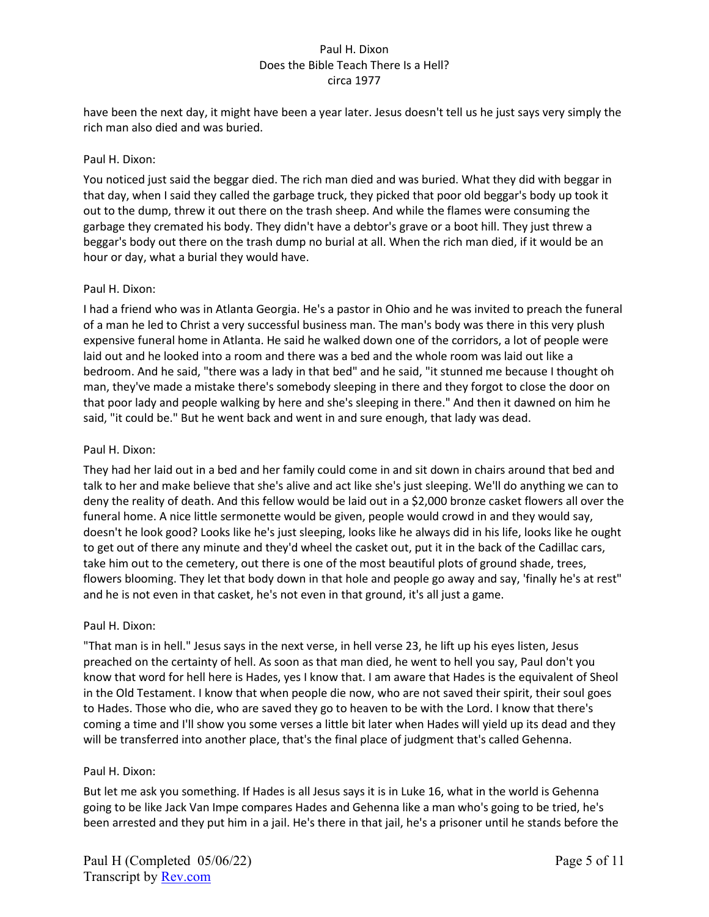have been the next day, it might have been a year later. Jesus doesn't tell us he just says very simply the rich man also died and was buried.

## Paul H. Dixon:

You noticed just said the beggar died. The rich man died and was buried. What they did with beggar in that day, when I said they called the garbage truck, they picked that poor old beggar's body up took it out to the dump, threw it out there on the trash sheep. And while the flames were consuming the garbage they cremated his body. They didn't have a debtor's grave or a boot hill. They just threw a beggar's body out there on the trash dump no burial at all. When the rich man died, if it would be an hour or day, what a burial they would have.

## Paul H. Dixon:

I had a friend who was in Atlanta Georgia. He's a pastor in Ohio and he was invited to preach the funeral of a man he led to Christ a very successful business man. The man's body was there in this very plush expensive funeral home in Atlanta. He said he walked down one of the corridors, a lot of people were laid out and he looked into a room and there was a bed and the whole room was laid out like a bedroom. And he said, "there was a lady in that bed" and he said, "it stunned me because I thought oh man, they've made a mistake there's somebody sleeping in there and they forgot to close the door on that poor lady and people walking by here and she's sleeping in there." And then it dawned on him he said, "it could be." But he went back and went in and sure enough, that lady was dead.

## Paul H. Dixon:

They had her laid out in a bed and her family could come in and sit down in chairs around that bed and talk to her and make believe that she's alive and act like she's just sleeping. We'll do anything we can to deny the reality of death. And this fellow would be laid out in a \$2,000 bronze casket flowers all over the funeral home. A nice little sermonette would be given, people would crowd in and they would say, doesn't he look good? Looks like he's just sleeping, looks like he always did in his life, looks like he ought to get out of there any minute and they'd wheel the casket out, put it in the back of the Cadillac cars, take him out to the cemetery, out there is one of the most beautiful plots of ground shade, trees, flowers blooming. They let that body down in that hole and people go away and say, 'finally he's at rest" and he is not even in that casket, he's not even in that ground, it's all just a game.

## Paul H. Dixon:

"That man is in hell." Jesus says in the next verse, in hell verse 23, he lift up his eyes listen, Jesus preached on the certainty of hell. As soon as that man died, he went to hell you say, Paul don't you know that word for hell here is Hades, yes I know that. I am aware that Hades is the equivalent of Sheol in the Old Testament. I know that when people die now, who are not saved their spirit, their soul goes to Hades. Those who die, who are saved they go to heaven to be with the Lord. I know that there's coming a time and I'll show you some verses a little bit later when Hades will yield up its dead and they will be transferred into another place, that's the final place of judgment that's called Gehenna.

### Paul H. Dixon:

But let me ask you something. If Hades is all Jesus says it is in Luke 16, what in the world is Gehenna going to be like Jack Van Impe compares Hades and Gehenna like a man who's going to be tried, he's been arrested and they put him in a jail. He's there in that jail, he's a prisoner until he stands before the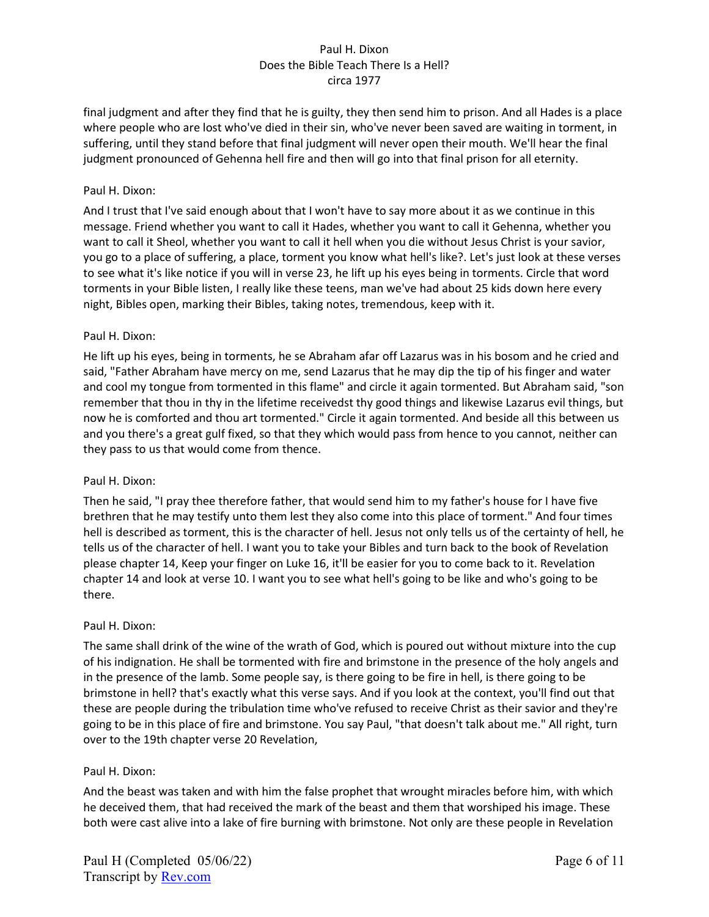final judgment and after they find that he is guilty, they then send him to prison. And all Hades is a place where people who are lost who've died in their sin, who've never been saved are waiting in torment, in suffering, until they stand before that final judgment will never open their mouth. We'll hear the final judgment pronounced of Gehenna hell fire and then will go into that final prison for all eternity.

## Paul H. Dixon:

And I trust that I've said enough about that I won't have to say more about it as we continue in this message. Friend whether you want to call it Hades, whether you want to call it Gehenna, whether you want to call it Sheol, whether you want to call it hell when you die without Jesus Christ is your savior, you go to a place of suffering, a place, torment you know what hell's like?. Let's just look at these verses to see what it's like notice if you will in verse 23, he lift up his eyes being in torments. Circle that word torments in your Bible listen, I really like these teens, man we've had about 25 kids down here every night, Bibles open, marking their Bibles, taking notes, tremendous, keep with it.

## Paul H. Dixon:

He lift up his eyes, being in torments, he se Abraham afar off Lazarus was in his bosom and he cried and said, "Father Abraham have mercy on me, send Lazarus that he may dip the tip of his finger and water and cool my tongue from tormented in this flame" and circle it again tormented. But Abraham said, "son remember that thou in thy in the lifetime receivedst thy good things and likewise Lazarus evil things, but now he is comforted and thou art tormented." Circle it again tormented. And beside all this between us and you there's a great gulf fixed, so that they which would pass from hence to you cannot, neither can they pass to us that would come from thence.

### Paul H. Dixon:

Then he said, "I pray thee therefore father, that would send him to my father's house for I have five brethren that he may testify unto them lest they also come into this place of torment." And four times hell is described as torment, this is the character of hell. Jesus not only tells us of the certainty of hell, he tells us of the character of hell. I want you to take your Bibles and turn back to the book of Revelation please chapter 14, Keep your finger on Luke 16, it'll be easier for you to come back to it. Revelation chapter 14 and look at verse 10. I want you to see what hell's going to be like and who's going to be there.

### Paul H. Dixon:

The same shall drink of the wine of the wrath of God, which is poured out without mixture into the cup of his indignation. He shall be tormented with fire and brimstone in the presence of the holy angels and in the presence of the lamb. Some people say, is there going to be fire in hell, is there going to be brimstone in hell? that's exactly what this verse says. And if you look at the context, you'll find out that these are people during the tribulation time who've refused to receive Christ as their savior and they're going to be in this place of fire and brimstone. You say Paul, "that doesn't talk about me." All right, turn over to the 19th chapter verse 20 Revelation,

### Paul H. Dixon:

And the beast was taken and with him the false prophet that wrought miracles before him, with which he deceived them, that had received the mark of the beast and them that worshiped his image. These both were cast alive into a lake of fire burning with brimstone. Not only are these people in Revelation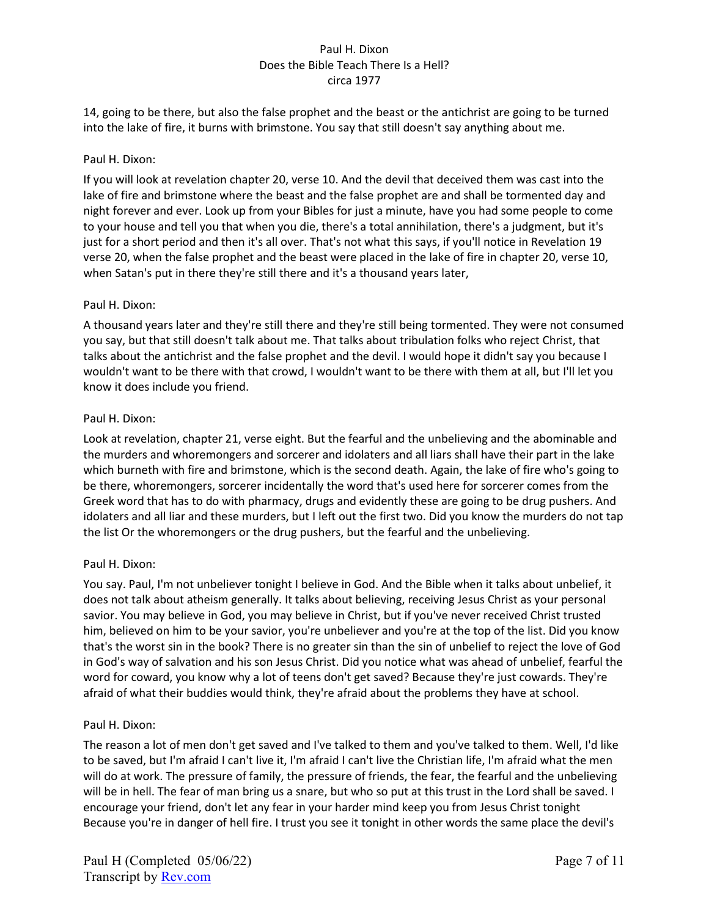14, going to be there, but also the false prophet and the beast or the antichrist are going to be turned into the lake of fire, it burns with brimstone. You say that still doesn't say anything about me.

## Paul H. Dixon:

If you will look at revelation chapter 20, verse 10. And the devil that deceived them was cast into the lake of fire and brimstone where the beast and the false prophet are and shall be tormented day and night forever and ever. Look up from your Bibles for just a minute, have you had some people to come to your house and tell you that when you die, there's a total annihilation, there's a judgment, but it's just for a short period and then it's all over. That's not what this says, if you'll notice in Revelation 19 verse 20, when the false prophet and the beast were placed in the lake of fire in chapter 20, verse 10, when Satan's put in there they're still there and it's a thousand years later,

## Paul H. Dixon:

A thousand years later and they're still there and they're still being tormented. They were not consumed you say, but that still doesn't talk about me. That talks about tribulation folks who reject Christ, that talks about the antichrist and the false prophet and the devil. I would hope it didn't say you because I wouldn't want to be there with that crowd, I wouldn't want to be there with them at all, but I'll let you know it does include you friend.

## Paul H. Dixon:

Look at revelation, chapter 21, verse eight. But the fearful and the unbelieving and the abominable and the murders and whoremongers and sorcerer and idolaters and all liars shall have their part in the lake which burneth with fire and brimstone, which is the second death. Again, the lake of fire who's going to be there, whoremongers, sorcerer incidentally the word that's used here for sorcerer comes from the Greek word that has to do with pharmacy, drugs and evidently these are going to be drug pushers. And idolaters and all liar and these murders, but I left out the first two. Did you know the murders do not tap the list Or the whoremongers or the drug pushers, but the fearful and the unbelieving.

## Paul H. Dixon:

You say. Paul, I'm not unbeliever tonight I believe in God. And the Bible when it talks about unbelief, it does not talk about atheism generally. It talks about believing, receiving Jesus Christ as your personal savior. You may believe in God, you may believe in Christ, but if you've never received Christ trusted him, believed on him to be your savior, you're unbeliever and you're at the top of the list. Did you know that's the worst sin in the book? There is no greater sin than the sin of unbelief to reject the love of God in God's way of salvation and his son Jesus Christ. Did you notice what was ahead of unbelief, fearful the word for coward, you know why a lot of teens don't get saved? Because they're just cowards. They're afraid of what their buddies would think, they're afraid about the problems they have at school.

### Paul H. Dixon:

The reason a lot of men don't get saved and I've talked to them and you've talked to them. Well, I'd like to be saved, but I'm afraid I can't live it, I'm afraid I can't live the Christian life, I'm afraid what the men will do at work. The pressure of family, the pressure of friends, the fear, the fearful and the unbelieving will be in hell. The fear of man bring us a snare, but who so put at this trust in the Lord shall be saved. I encourage your friend, don't let any fear in your harder mind keep you from Jesus Christ tonight Because you're in danger of hell fire. I trust you see it tonight in other words the same place the devil's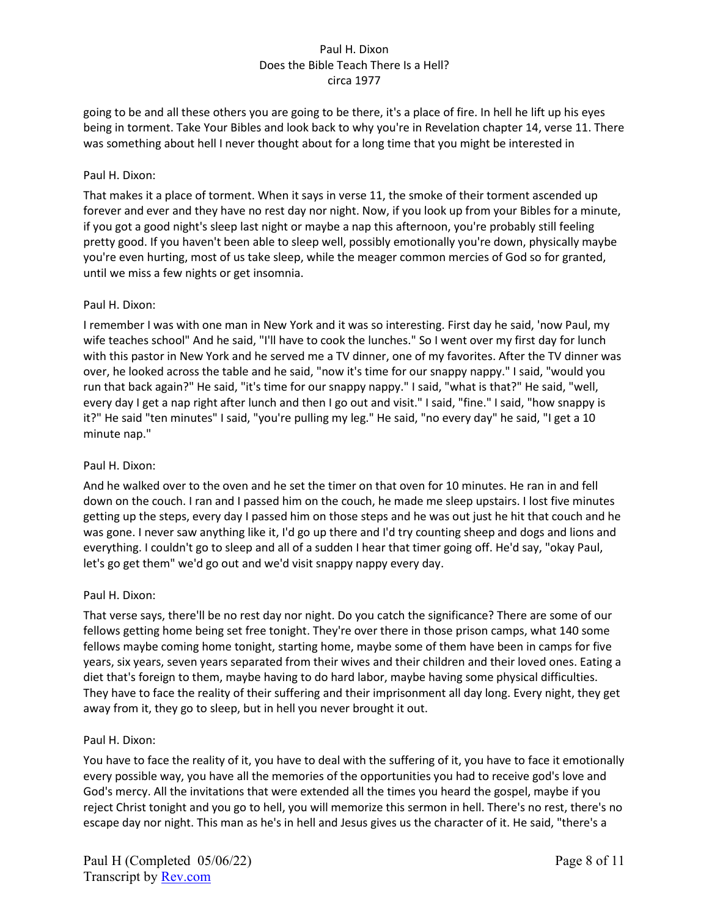going to be and all these others you are going to be there, it's a place of fire. In hell he lift up his eyes being in torment. Take Your Bibles and look back to why you're in Revelation chapter 14, verse 11. There was something about hell I never thought about for a long time that you might be interested in

## Paul H. Dixon:

That makes it a place of torment. When it says in verse 11, the smoke of their torment ascended up forever and ever and they have no rest day nor night. Now, if you look up from your Bibles for a minute, if you got a good night's sleep last night or maybe a nap this afternoon, you're probably still feeling pretty good. If you haven't been able to sleep well, possibly emotionally you're down, physically maybe you're even hurting, most of us take sleep, while the meager common mercies of God so for granted, until we miss a few nights or get insomnia.

## Paul H. Dixon:

I remember I was with one man in New York and it was so interesting. First day he said, 'now Paul, my wife teaches school" And he said, "I'll have to cook the lunches." So I went over my first day for lunch with this pastor in New York and he served me a TV dinner, one of my favorites. After the TV dinner was over, he looked across the table and he said, "now it's time for our snappy nappy." I said, "would you run that back again?" He said, "it's time for our snappy nappy." I said, "what is that?" He said, "well, every day I get a nap right after lunch and then I go out and visit." I said, "fine." I said, "how snappy is it?" He said "ten minutes" I said, "you're pulling my leg." He said, "no every day" he said, "I get a 10 minute nap."

## Paul H. Dixon:

And he walked over to the oven and he set the timer on that oven for 10 minutes. He ran in and fell down on the couch. I ran and I passed him on the couch, he made me sleep upstairs. I lost five minutes getting up the steps, every day I passed him on those steps and he was out just he hit that couch and he was gone. I never saw anything like it, I'd go up there and I'd try counting sheep and dogs and lions and everything. I couldn't go to sleep and all of a sudden I hear that timer going off. He'd say, "okay Paul, let's go get them" we'd go out and we'd visit snappy nappy every day.

### Paul H. Dixon:

That verse says, there'll be no rest day nor night. Do you catch the significance? There are some of our fellows getting home being set free tonight. They're over there in those prison camps, what 140 some fellows maybe coming home tonight, starting home, maybe some of them have been in camps for five years, six years, seven years separated from their wives and their children and their loved ones. Eating a diet that's foreign to them, maybe having to do hard labor, maybe having some physical difficulties. They have to face the reality of their suffering and their imprisonment all day long. Every night, they get away from it, they go to sleep, but in hell you never brought it out.

### Paul H. Dixon:

You have to face the reality of it, you have to deal with the suffering of it, you have to face it emotionally every possible way, you have all the memories of the opportunities you had to receive god's love and God's mercy. All the invitations that were extended all the times you heard the gospel, maybe if you reject Christ tonight and you go to hell, you will memorize this sermon in hell. There's no rest, there's no escape day nor night. This man as he's in hell and Jesus gives us the character of it. He said, "there's a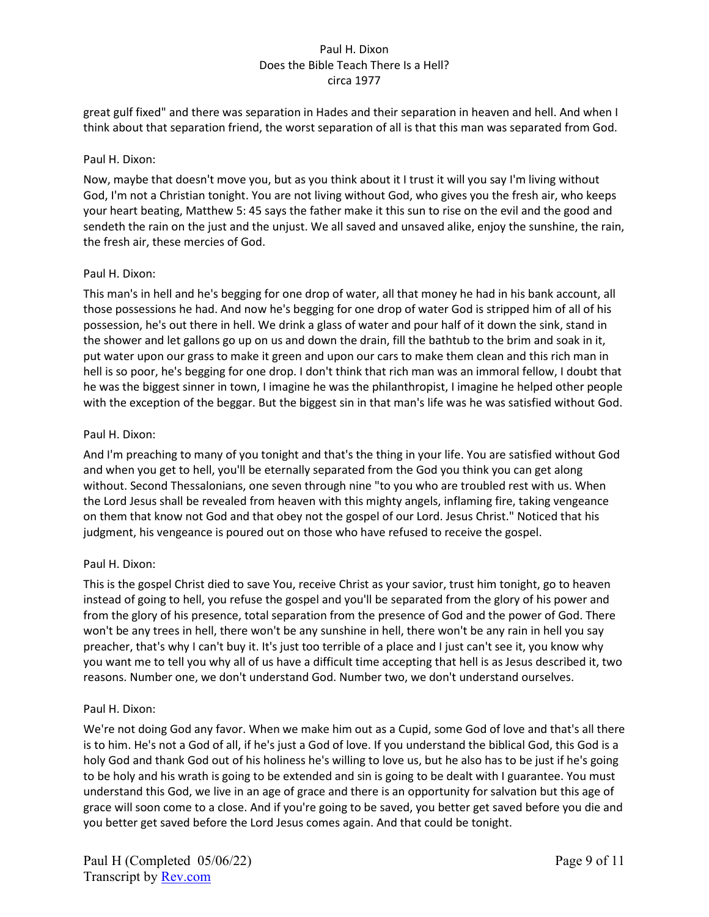great gulf fixed" and there was separation in Hades and their separation in heaven and hell. And when I think about that separation friend, the worst separation of all is that this man was separated from God.

### Paul H. Dixon:

Now, maybe that doesn't move you, but as you think about it I trust it will you say I'm living without God, I'm not a Christian tonight. You are not living without God, who gives you the fresh air, who keeps your heart beating, Matthew 5: 45 says the father make it this sun to rise on the evil and the good and sendeth the rain on the just and the unjust. We all saved and unsaved alike, enjoy the sunshine, the rain, the fresh air, these mercies of God.

## Paul H. Dixon:

This man's in hell and he's begging for one drop of water, all that money he had in his bank account, all those possessions he had. And now he's begging for one drop of water God is stripped him of all of his possession, he's out there in hell. We drink a glass of water and pour half of it down the sink, stand in the shower and let gallons go up on us and down the drain, fill the bathtub to the brim and soak in it, put water upon our grass to make it green and upon our cars to make them clean and this rich man in hell is so poor, he's begging for one drop. I don't think that rich man was an immoral fellow, I doubt that he was the biggest sinner in town, I imagine he was the philanthropist, I imagine he helped other people with the exception of the beggar. But the biggest sin in that man's life was he was satisfied without God.

## Paul H. Dixon:

And I'm preaching to many of you tonight and that's the thing in your life. You are satisfied without God and when you get to hell, you'll be eternally separated from the God you think you can get along without. Second Thessalonians, one seven through nine "to you who are troubled rest with us. When the Lord Jesus shall be revealed from heaven with this mighty angels, inflaming fire, taking vengeance on them that know not God and that obey not the gospel of our Lord. Jesus Christ." Noticed that his judgment, his vengeance is poured out on those who have refused to receive the gospel.

## Paul H. Dixon:

This is the gospel Christ died to save You, receive Christ as your savior, trust him tonight, go to heaven instead of going to hell, you refuse the gospel and you'll be separated from the glory of his power and from the glory of his presence, total separation from the presence of God and the power of God. There won't be any trees in hell, there won't be any sunshine in hell, there won't be any rain in hell you say preacher, that's why I can't buy it. It's just too terrible of a place and I just can't see it, you know why you want me to tell you why all of us have a difficult time accepting that hell is as Jesus described it, two reasons. Number one, we don't understand God. Number two, we don't understand ourselves.

## Paul H. Dixon:

We're not doing God any favor. When we make him out as a Cupid, some God of love and that's all there is to him. He's not a God of all, if he's just a God of love. If you understand the biblical God, this God is a holy God and thank God out of his holiness he's willing to love us, but he also has to be just if he's going to be holy and his wrath is going to be extended and sin is going to be dealt with I guarantee. You must understand this God, we live in an age of grace and there is an opportunity for salvation but this age of grace will soon come to a close. And if you're going to be saved, you better get saved before you die and you better get saved before the Lord Jesus comes again. And that could be tonight.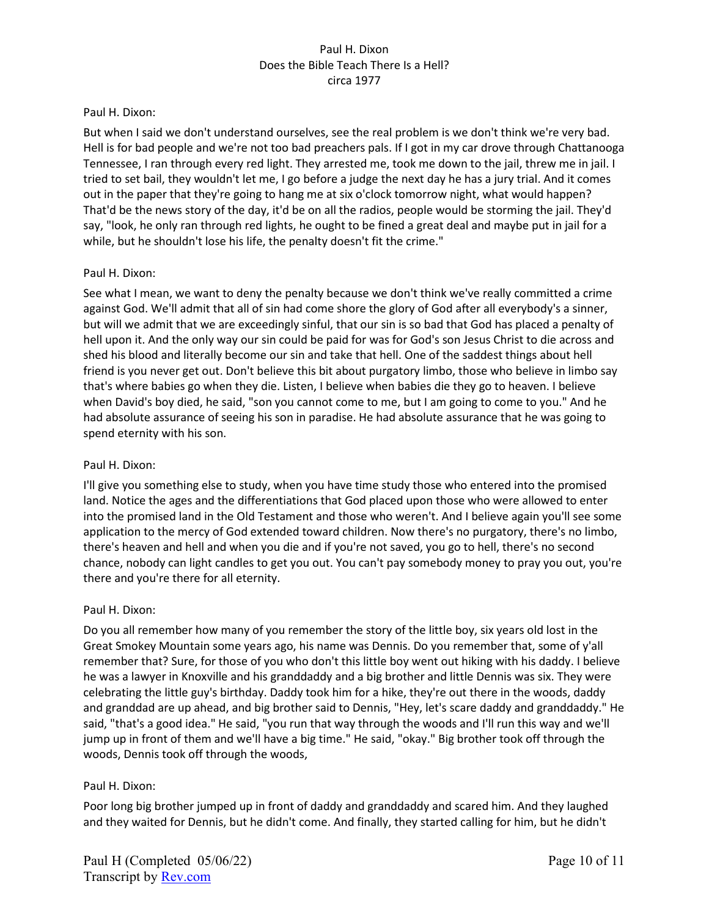### Paul H. Dixon:

But when I said we don't understand ourselves, see the real problem is we don't think we're very bad. Hell is for bad people and we're not too bad preachers pals. If I got in my car drove through Chattanooga Tennessee, I ran through every red light. They arrested me, took me down to the jail, threw me in jail. I tried to set bail, they wouldn't let me, I go before a judge the next day he has a jury trial. And it comes out in the paper that they're going to hang me at six o'clock tomorrow night, what would happen? That'd be the news story of the day, it'd be on all the radios, people would be storming the jail. They'd say, "look, he only ran through red lights, he ought to be fined a great deal and maybe put in jail for a while, but he shouldn't lose his life, the penalty doesn't fit the crime."

## Paul H. Dixon:

See what I mean, we want to deny the penalty because we don't think we've really committed a crime against God. We'll admit that all of sin had come shore the glory of God after all everybody's a sinner, but will we admit that we are exceedingly sinful, that our sin is so bad that God has placed a penalty of hell upon it. And the only way our sin could be paid for was for God's son Jesus Christ to die across and shed his blood and literally become our sin and take that hell. One of the saddest things about hell friend is you never get out. Don't believe this bit about purgatory limbo, those who believe in limbo say that's where babies go when they die. Listen, I believe when babies die they go to heaven. I believe when David's boy died, he said, "son you cannot come to me, but I am going to come to you." And he had absolute assurance of seeing his son in paradise. He had absolute assurance that he was going to spend eternity with his son.

## Paul H. Dixon:

I'll give you something else to study, when you have time study those who entered into the promised land. Notice the ages and the differentiations that God placed upon those who were allowed to enter into the promised land in the Old Testament and those who weren't. And I believe again you'll see some application to the mercy of God extended toward children. Now there's no purgatory, there's no limbo, there's heaven and hell and when you die and if you're not saved, you go to hell, there's no second chance, nobody can light candles to get you out. You can't pay somebody money to pray you out, you're there and you're there for all eternity.

### Paul H. Dixon:

Do you all remember how many of you remember the story of the little boy, six years old lost in the Great Smokey Mountain some years ago, his name was Dennis. Do you remember that, some of y'all remember that? Sure, for those of you who don't this little boy went out hiking with his daddy. I believe he was a lawyer in Knoxville and his granddaddy and a big brother and little Dennis was six. They were celebrating the little guy's birthday. Daddy took him for a hike, they're out there in the woods, daddy and granddad are up ahead, and big brother said to Dennis, "Hey, let's scare daddy and granddaddy." He said, "that's a good idea." He said, "you run that way through the woods and I'll run this way and we'll jump up in front of them and we'll have a big time." He said, "okay." Big brother took off through the woods, Dennis took off through the woods,

## Paul H. Dixon:

Poor long big brother jumped up in front of daddy and granddaddy and scared him. And they laughed and they waited for Dennis, but he didn't come. And finally, they started calling for him, but he didn't